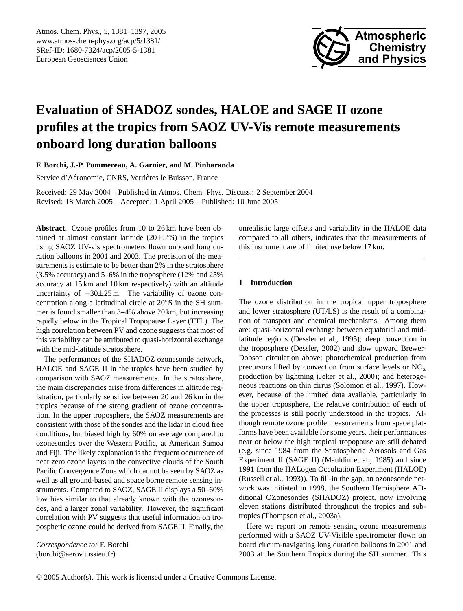

# **Evaluation of SHADOZ sondes, HALOE and SAGE II ozone profiles at the tropics from SAOZ UV-Vis remote measurements onboard long duration balloons**

**F. Borchi, J.-P. Pommereau, A. Garnier, and M. Pinharanda**

Service d'Aéronomie, CNRS, Verrières le Buisson, France

Received: 29 May 2004 – Published in Atmos. Chem. Phys. Discuss.: 2 September 2004 Revised: 18 March 2005 – Accepted: 1 April 2005 – Published: 10 June 2005

**Abstract.** Ozone profiles from 10 to 26 km have been obtained at almost constant latitude  $(20 \pm 5^{\circ}S)$  in the tropics using SAOZ UV-vis spectrometers flown onboard long duration balloons in 2001 and 2003. The precision of the measurements is estimate to be better than 2% in the stratosphere (3.5% accuracy) and 5–6% in the troposphere (12% and 25% accuracy at 15 km and 10 km respectively) with an altitude uncertainty of −30±25 m. The variability of ozone concentration along a latitudinal circle at 20◦S in the SH summer is found smaller than 3–4% above 20 km, but increasing rapidly below in the Tropical Tropopause Layer (TTL). The high correlation between PV and ozone suggests that most of this variability can be attributed to quasi-horizontal exchange with the mid-latitude stratosphere.

The performances of the SHADOZ ozonesonde network, HALOE and SAGE II in the tropics have been studied by comparison with SAOZ measurements. In the stratosphere, the main discrepancies arise from differences in altitude registration, particularly sensitive between 20 and 26 km in the tropics because of the strong gradient of ozone concentration. In the upper troposphere, the SAOZ measurements are consistent with those of the sondes and the lidar in cloud free conditions, but biased high by 60% on average compared to ozonesondes over the Western Pacific, at American Samoa and Fiji. The likely explanation is the frequent occurrence of near zero ozone layers in the convective clouds of the South Pacific Convergence Zone which cannot be seen by SAOZ as well as all ground-based and space borne remote sensing instruments. Compared to SAOZ, SAGE II displays a 50–60% low bias similar to that already known with the ozonesondes, and a larger zonal variability. However, the significant correlation with PV suggests that useful information on tropospheric ozone could be derived from SAGE II. Finally, the

<span id="page-0-0"></span>*Correspondence to:* F. Borchi (borchi@aerov.jussieu.fr)

unrealistic large offsets and variability in the HALOE data compared to all others, indicates that the measurements of this instrument are of limited use below 17 km.

# **1 Introduction**

The ozone distribution in the tropical upper troposphere and lower stratosphere (UT/LS) is the result of a combination of transport and chemical mechanisms. Among them are: quasi-horizontal exchange between equatorial and midlatitude regions (Dessler et al., 1995); deep convection in the troposphere (Dessler, 2002) and slow upward Brewer-Dobson circulation above; photochemical production from precursors lifted by convection from surface levels or NO<sup>x</sup> production by lightning (Jeker et al., 2000); and heterogeneous reactions on thin cirrus (Solomon et al., 1997). However, because of the limited data available, particularly in the upper troposphere, the relative contribution of each of the processes is still poorly understood in the tropics. Although remote ozone profile measurements from space platforms have been available for some years, their performances near or below the high tropical tropopause are still debated (e.g. since 1984 from the Stratospheric Aerosols and Gas Experiment II (SAGE II) (Mauldin et al., 1985) and since 1991 from the HALogen Occultation Experiment (HALOE) (Russell et al., 1993)). To fill-in the gap, an ozonesonde network was initiated in 1998, the Southern Hemisphere ADditional OZonesondes (SHADOZ) project, now involving eleven stations distributed throughout the tropics and subtropics (Thompson et al., 2003a).

Here we report on remote sensing ozone measurements performed with a SAOZ UV-Visible spectrometer flown on board circum-navigating long duration balloons in 2001 and 2003 at the Southern Tropics during the SH summer. This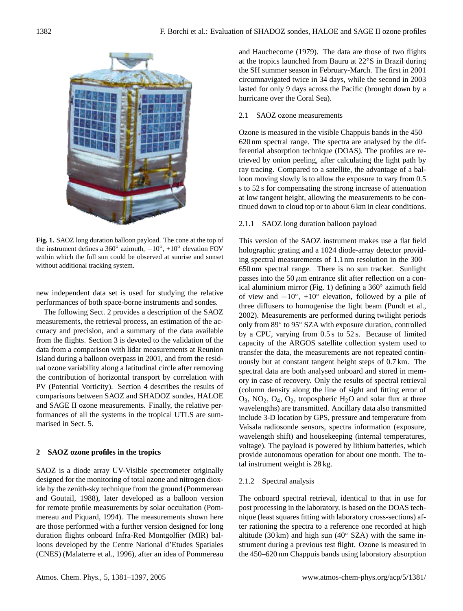

**Fig. 1.** SAOZ long duration balloon payload. The cone at the top of the instrument defines a 360 $^{\circ}$  azimuth,  $-10^{\circ}$ , +10 $^{\circ}$  elevation FOV within which the full sun could be observed at sunrise and sunset without additional tracking system.

new independent data set is used for studying the relative performances of both space-borne instruments and sondes.

The following Sect. 2 provides a description of the SAOZ measurements, the retrieval process, an estimation of the accuracy and precision, and a summary of the data available from the flights. Section 3 is devoted to the validation of the data from a comparison with lidar measurements at Reunion Island during a balloon overpass in 2001, and from the residual ozone variability along a latitudinal circle after removing the contribution of horizontal transport by correlation with PV (Potential Vorticity). Section 4 describes the results of comparisons between SAOZ and SHADOZ sondes, HALOE and SAGE II ozone measurements. Finally, the relative performances of all the systems in the tropical UTLS are summarised in Sect. 5.

## **2 SAOZ ozone profiles in the tropics**

SAOZ is a diode array UV-Visible spectrometer originally designed for the monitoring of total ozone and nitrogen dioxide by the zenith-sky technique from the ground (Pommereau and Goutail, 1988), later developed as a balloon version for remote profile measurements by solar occultation (Pommereau and Piquard, 1994). The measurements shown here are those performed with a further version designed for long duration flights onboard Infra-Red Montgolfier (MIR) balloons developed by the Centre National d'Etudes Spatiales (CNES) (Malaterre et al., 1996), after an idea of Pommereau and Hauchecorne (1979). The data are those of two flights at the tropics launched from Bauru at 22◦S in Brazil during the SH summer season in February-March. The first in 2001 circumnavigated twice in 34 days, while the second in 2003 lasted for only 9 days across the Pacific (brought down by a hurricane over the Coral Sea).

# 2.1 SAOZ ozone measurements

Ozone is measured in the visible Chappuis bands in the 450– 620 nm spectral range. The spectra are analysed by the differential absorption technique (DOAS). The profiles are retrieved by onion peeling, after calculating the light path by ray tracing. Compared to a satellite, the advantage of a balloon moving slowly is to allow the exposure to vary from 0.5 s to 52 s for compensating the strong increase of attenuation at low tangent height, allowing the measurements to be continued down to cloud top or to about 6 km in clear conditions.

# 2.1.1 SAOZ long duration balloon payload

This version of the SAOZ instrument makes use a flat field holographic grating and a 1024 diode-array detector providing spectral measurements of 1.1 nm resolution in the 300– 650 nm spectral range. There is no sun tracker. Sunlight passes into the 50  $\mu$ m entrance slit after reflection on a conical aluminium mirror (Fig. 1) defining a 360◦ azimuth field of view and  $-10^\circ$ , +10° elevation, followed by a pile of three diffusers to homogenise the light beam (Pundt et al., 2002). Measurements are performed during twilight periods only from 89◦ to 95◦ SZA with exposure duration, controlled by a CPU, varying from 0.5 s to 52 s. Because of limited capacity of the ARGOS satellite collection system used to transfer the data, the measurements are not repeated continuously but at constant tangent height steps of 0.7 km. The spectral data are both analysed onboard and stored in memory in case of recovery. Only the results of spectral retrieval (column density along the line of sight and fitting error of  $O_3$ ,  $NO_2$ ,  $O_4$ ,  $O_2$ , tropospheric  $H_2O$  and solar flux at three wavelengths) are transmitted. Ancillary data also transmitted include 3-D location by GPS, pressure and temperature from Vaïsala radiosonde sensors, spectra information (exposure, wavelength shift) and housekeeping (internal temperatures, voltage). The payload is powered by lithium batteries, which provide autonomous operation for about one month. The total instrument weight is 28 kg.

# 2.1.2 Spectral analysis

The onboard spectral retrieval, identical to that in use for post processing in the laboratory, is based on the DOAS technique (least squares fitting with laboratory cross-sections) after rationing the spectra to a reference one recorded at high altitude (30 km) and high sun (40 $\degree$  SZA) with the same instrument during a previous test flight. Ozone is measured in the 450–620 nm Chappuis bands using laboratory absorption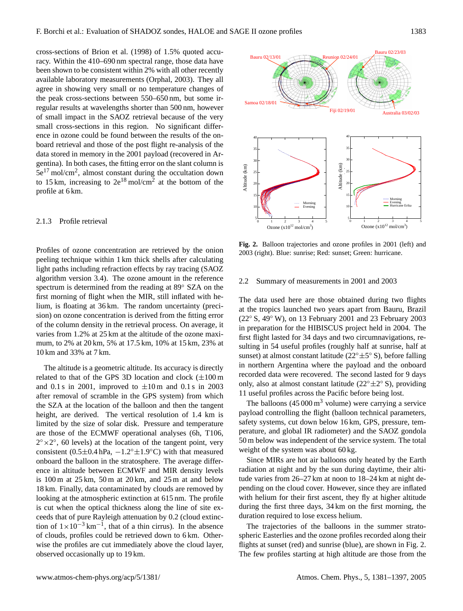cross-sections of Brion et al. (1998) of 1.5% quoted accuracy. Within the 410–690 nm spectral range, those data have been shown to be consistent within 2% with all other recently available laboratory measurements (Orphal, 2003). They all agree in showing very small or no temperature changes of the peak cross-sections between 550–650 nm, but some irregular results at wavelengths shorter than 500 nm, however of small impact in the SAOZ retrieval because of the very small cross-sections in this region. No significant difference in ozone could be found between the results of the onboard retrieval and those of the post flight re-analysis of the data stored in memory in the 2001 payload (recovered in Argentina). In both cases, the fitting error on the slant column is  $5e^{17}$  mol/cm<sup>2</sup>, almost constant during the occultation down to 15 km, increasing to  $2e^{18}$  mol/cm<sup>2</sup> at the bottom of the profile at 6 km.

#### 2.1.3 Profile retrieval

Profiles of ozone concentration are retrieved by the onion peeling technique within 1 km thick shells after calculating light paths including refraction effects by ray tracing (SAOZ algorithm version 3.4). The ozone amount in the reference spectrum is determined from the reading at 89◦ SZA on the first morning of flight when the MIR, still inflated with helium, is floating at 36 km. The random uncertainty (precision) on ozone concentration is derived from the fitting error of the column density in the retrieval process. On average, it varies from 1.2% at 25 km at the altitude of the ozone maximum, to 2% at 20 km, 5% at 17.5 km, 10% at 15 km, 23% at 10 km and 33% at 7 km.

The altitude is a geometric altitude. Its accuracy is directly related to that of the GPS 3D location and clock  $(\pm 100 \text{ m})$ and 0.1 s in 2001, improved to  $\pm 10$  m and 0.1 s in 2003 after removal of scramble in the GPS system) from which the SZA at the location of the balloon and then the tangent height, are derived. The vertical resolution of 1.4 km is limited by the size of solar disk. Pressure and temperature are those of the ECMWF operational analyses (6h, T106,  $2^{\circ} \times 2^{\circ}$ , 60 levels) at the location of the tangent point, very consistent (0.5 $\pm$ 0.4 hPa,  $-1.2°\pm1.9°$ C) with that measured onboard the balloon in the stratosphere. The average difference in altitude between ECMWF and MIR density levels is  $100 \text{ m}$  at  $25 \text{ km}$ ,  $50 \text{ m}$  at  $20 \text{ km}$ , and  $25 \text{ m}$  at and below 18 km. Finally, data contaminated by clouds are removed by looking at the atmospheric extinction at 615 nm. The profile is cut when the optical thickness along the line of site exceeds that of pure Rayleigh attenuation by 0.2 (cloud extinction of  $1 \times 10^{-3}$  km<sup>-1</sup>, that of a thin cirrus). In the absence of clouds, profiles could be retrieved down to 6 km. Otherwise the profiles are cut immediately above the cloud layer, observed occasionally up to 19 km.



**Fig. 2.** Balloon trajectories and ozone profiles in 2001 (left) and 2003 (right). Blue: sunrise; Red: sunset; Green: hurricane.

#### 2.2 Summary of measurements in 2001 and 2003

The data used here are those obtained during two flights at the tropics launched two years apart from Bauru, Brazil (22◦ S, 49◦ W), on 13 February 2001 and 23 February 2003 in preparation for the HIBISCUS project held in 2004. The first flight lasted for 34 days and two circumnavigations, resulting in 54 useful profiles (roughly half at sunrise, half at sunset) at almost constant latitude ( $22^{\circ} \pm 5^{\circ}$  S), before falling in northern Argentina where the payload and the onboard recorded data were recovered. The second lasted for 9 days only, also at almost constant latitude ( $22^{\circ} \pm 2^{\circ}$  S), providing 11 useful profiles across the Pacific before being lost.

The balloons  $(45000 \text{ m}^3)$  volume) were carrying a service payload controlling the flight (balloon technical parameters, safety systems, cut down below 16 km, GPS, pressure, temperature, and global IR radiometer) and the SAOZ gondola 50 m below was independent of the service system. The total weight of the system was about 60 kg.

Since MIRs are hot air balloons only heated by the Earth radiation at night and by the sun during daytime, their altitude varies from 26–27 km at noon to 18–24 km at night depending on the cloud cover. However, since they are inflated with helium for their first ascent, they fly at higher altitude during the first three days, 34 km on the first morning, the duration required to lose excess helium.

The trajectories of the balloons in the summer stratospheric Easterlies and the ozone profiles recorded along their flights at sunset (red) and sunrise (blue), are shown in Fig. 2. The few profiles starting at high altitude are those from the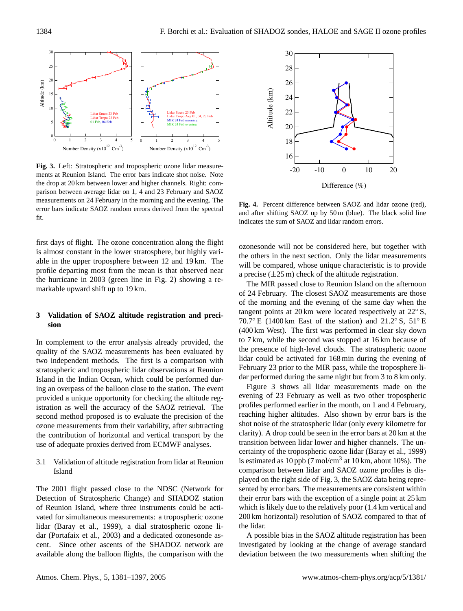

**Fig. 3.** Left: Stratospheric and tropospheric ozone lidar measurements at Reunion Island. The error bars indicate shot noise. Note the drop at 20 km between lower and higher channels. Right: comparison between average lidar on 1, 4 and 23 February and SAOZ measurements on 24 February in the morning and the evening. The error bars indicate SAOZ random errors derived from the spectral fit.

first days of flight. The ozone concentration along the flight is almost constant in the lower stratosphere, but highly variable in the upper troposphere between 12 and 19 km. The profile departing most from the mean is that observed near the hurricane in 2003 (green line in Fig. 2) showing a remarkable upward shift up to 19 km.

# **3 Validation of SAOZ altitude registration and precision**

In complement to the error analysis already provided, the quality of the SAOZ measurements has been evaluated by two independent methods. The first is a comparison with stratospheric and tropospheric lidar observations at Reunion Island in the Indian Ocean, which could be performed during an overpass of the balloon close to the station. The event provided a unique opportunity for checking the altitude registration as well the accuracy of the SAOZ retrieval. The second method proposed is to evaluate the precision of the ozone measurements from their variability, after subtracting the contribution of horizontal and vertical transport by the use of adequate proxies derived from ECMWF analyses.

3.1 Validation of altitude registration from lidar at Reunion Island

The 2001 flight passed close to the NDSC (Network for Detection of Stratospheric Change) and SHADOZ station of Reunion Island, where three instruments could be activated for simultaneous measurements: a tropospheric ozone lidar (Baray et al., 1999), a dial stratospheric ozone lidar (Portafaix et al., 2003) and a dedicated ozonesonde ascent. Since other ascents of the SHADOZ network are available along the balloon flights, the comparison with the



**Fig. 4.** Percent difference between SAOZ and lidar ozone (red), and after shifting SAOZ up by 50 m (blue). The black solid line indicates the sum of SAOZ and lidar random errors.

ozonesonde will not be considered here, but together with the others in the next section. Only the lidar measurements will be compared, whose unique characteristic is to provide a precise  $(\pm 25 \,\mathrm{m})$  check of the altitude registration.

The MIR passed close to Reunion Island on the afternoon of 24 February. The closest SAOZ measurements are those of the morning and the evening of the same day when the tangent points at 20 km were located respectively at 22◦ S, 70.7◦ E (1400 km East of the station) and 21.2◦ S, 51◦ E (400 km West). The first was performed in clear sky down to 7 km, while the second was stopped at 16 km because of the presence of high-level clouds. The stratospheric ozone lidar could be activated for 168 min during the evening of February 23 prior to the MIR pass, while the troposphere lidar performed during the same night but from 3 to 8 km only.

Figure 3 shows all lidar measurements made on the evening of 23 February as well as two other tropospheric profiles performed earlier in the month, on 1 and 4 February, reaching higher altitudes. Also shown by error bars is the shot noise of the stratospheric lidar (only every kilometre for clarity). A drop could be seen in the error bars at 20 km at the transition between lidar lower and higher channels. The uncertainty of the tropospheric ozone lidar (Baray et al., 1999) is estimated as  $10$  ppb (7 mol/cm<sup>3</sup> at  $10$  km, about  $10\%$ ). The comparison between lidar and SAOZ ozone profiles is displayed on the right side of Fig. 3, the SAOZ data being represented by error bars. The measurements are consistent within their error bars with the exception of a single point at 25 km which is likely due to the relatively poor (1.4 km vertical and 200 km horizontal) resolution of SAOZ compared to that of the lidar.

A possible bias in the SAOZ altitude registration has been investigated by looking at the change of average standard deviation between the two measurements when shifting the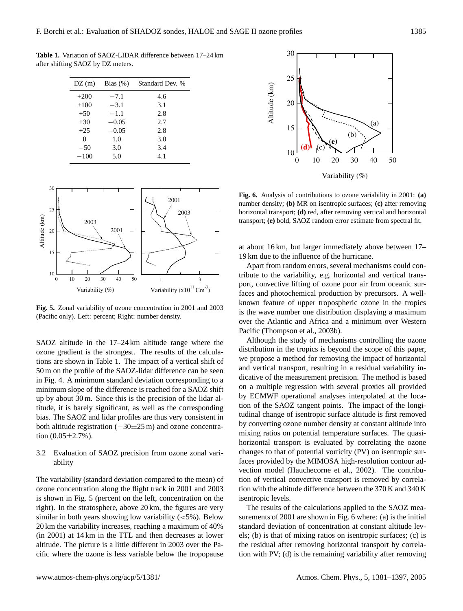**Table 1.** Variation of SAOZ-LIDAR difference between 17–24 km after shifting SAOZ by DZ meters.

| DZ(m)  | Bias $(\%)$ | Standard Dev. % |
|--------|-------------|-----------------|
| $+200$ | $-7.1$      | 4.6             |
| $+100$ | $-3.1$      | 3.1             |
| $+50$  | $-1.1$      | 2.8             |
| $+30$  | $-0.05$     | 2.7             |
| $+25$  | $-0.05$     | 2.8             |
| 0      | 1.0         | 3.0             |
| $-50$  | 3.0         | 3.4             |
| $-100$ | 5.0         | 4.1             |



**Fig. 5.** Zonal variability of ozone concentration in 2001 and 2003 (Pacific only). Left: percent; Right: number density.

SAOZ altitude in the 17–24 km altitude range where the ozone gradient is the strongest. The results of the calculations are shown in Table 1. The impact of a vertical shift of 50 m on the profile of the SAOZ-lidar difference can be seen in Fig. 4. A minimum standard deviation corresponding to a minimum slope of the difference is reached for a SAOZ shift up by about 30 m. Since this is the precision of the lidar altitude, it is barely significant, as well as the corresponding bias. The SAOZ and lidar profiles are thus very consistent in both altitude registration (−30±25 m) and ozone concentration  $(0.05 \pm 2.7\%)$ .

# 3.2 Evaluation of SAOZ precision from ozone zonal variability

The variability (standard deviation compared to the mean) of ozone concentration along the flight track in 2001 and 2003 is shown in Fig. 5 (percent on the left, concentration on the right). In the stratosphere, above 20 km, the figures are very similar in both years showing low variability  $(<5\%)$ . Below 20 km the variability increases, reaching a maximum of 40% (in 2001) at 14 km in the TTL and then decreases at lower altitude. The picture is a little different in 2003 over the Pacific where the ozone is less variable below the tropopause



**Fig. 6.** Analysis of contributions to ozone variability in 2001: **(a)** number density; **(b)** MR on isentropic surfaces; **(c)** after removing horizontal transport; **(d)** red, after removing vertical and horizontal transport; **(e)** bold, SAOZ random error estimate from spectral fit.

at about 16 km, but larger immediately above between 17– 19 km due to the influence of the hurricane.

Apart from random errors, several mechanisms could contribute to the variability, e.g. horizontal and vertical transport, convective lifting of ozone poor air from oceanic surfaces and photochemical production by precursors. A wellknown feature of upper tropospheric ozone in the tropics is the wave number one distribution displaying a maximum over the Atlantic and Africa and a minimum over Western Pacific (Thompson et al., 2003b).

5 tion with the altitude difference between the 370 K and 340 K Although the study of mechanisms controlling the ozone distribution in the tropics is beyond the scope of this paper, we propose a method for removing the impact of horizontal and vertical transport, resulting in a residual variability indicative of the measurement precision. The method is based on a multiple regression with several proxies all provided by ECMWF operational analyses interpolated at the location of the SAOZ tangent points. The impact of the longitudinal change of isentropic surface altitude is first removed by converting ozone number density at constant altitude into mixing ratios on potential temperature surfaces. The quasihorizontal transport is evaluated by correlating the ozone changes to that of potential vorticity (PV) on isentropic surfaces provided by the MIMOSA high-resolution contour advection model (Hauchecorne et al., 2002). The contribution of vertical convective transport is removed by correlaisentropic levels.

The results of the calculations applied to the SAOZ measurements of 2001 are shown in Fig. 6 where: (a) is the initial standard deviation of concentration at constant altitude levels; (b) is that of mixing ratios on isentropic surfaces; (c) is the residual after removing horizontal transport by correlation with PV; (d) is the remaining variability after removing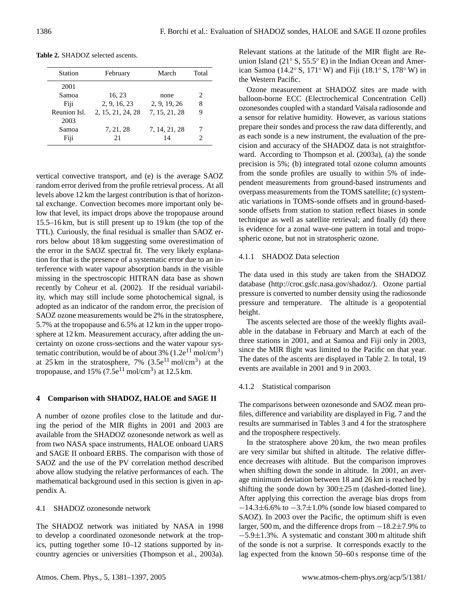| <b>Station</b>       | February          | March               | Total |
|----------------------|-------------------|---------------------|-------|
| 2001                 |                   |                     |       |
| Samoa                | 16, 23            | none                | 2.    |
| Fiji                 | 2, 9, 16, 23      | 2, 9, 19, 26        | 8     |
| Reunion Isl.<br>2003 | 2, 15, 21, 24, 28 | 7, 15, 21, 28       | 9     |
| Samoa<br>Fiji        | 7, 21, 28<br>21   | 7, 14, 21, 28<br>14 |       |

**Table 2.** SHADOZ selected ascents.

vertical convective transport, and (e) is the average SAOZ random error derived from the profile retrieval process. At all levels above 12 km the largest contribution is that of horizontal exchange. Convection becomes more important only below that level, its impact drops above the tropopause around 15.5–16 km, but is still present up to 19 km (the top of the TTL). Curiously, the final residual is smaller than SAOZ errors below about 18 km suggesting some overestimation of the error in the SAOZ spectral fit. The very likely explanation for that is the presence of a systematic error due to an interference with water vapour absorption bands in the visible missing in the spectroscopic HITRAN data base as shown recently by Coheur et al. (2002). If the residual variability, which may still include some photochemical signal, is adopted as an indicator of the random error, the precision of SAOZ ozone measurements would be 2% in the stratosphere, 5.7% at the tropopause and 6.5% at 12 km in the upper troposphere at 12 km. Measurement accuracy, after adding the uncertainty on ozone cross-sections and the water vapour systematic contribution, would be of about 3%  $(1.2e^{11} \text{ mol/cm}^3)$ at 25 km in the stratosphere,  $7\%$  (3.5e<sup>11</sup> mol/cm<sup>3</sup>) at the tropopause, and 15% (7.5 $e^{11}$  mol/cm<sup>3</sup>) at 12.5 km.

# **4 Comparison with SHADOZ, HALOE and SAGE II**

A number of ozone profiles close to the latitude and during the period of the MIR flights in 2001 and 2003 are available from the SHADOZ ozonesonde network as well as from two NASA space instruments, HALOE onboard UARS and SAGE II onboard ERBS. The comparison with those of SAOZ and the use of the PV correlation method described above allow studying the relative performances of each. The mathematical background used in this section is given in appendix A.

#### 4.1 SHADOZ ozonesonde network

The SHADOZ network was initiated by NASA in 1998 to develop a coordinated ozonesonde network at the tropics, putting together some 10–12 stations supported by incountry agencies or universities (Thompson et al., 2003a). Relevant stations at the latitude of the MIR flight are Reunion Island (21◦ S, 55.5◦ E) in the Indian Ocean and American Samoa (14.2◦ S, 171◦ W) and Fiji (18.1◦ S, 178◦ W) in the Western Pacific.

Ozone measurement at SHADOZ sites are made with balloon-borne ECC (Electrochemical Concentration Cell) ozonesondes coupled with a standard Vaïsala radiosonde and a sensor for relative humidity. However, as various stations prepare their sondes and process the raw data differently, and as each sonde is a new instrument, the evaluation of the precision and accuracy of the SHADOZ data is not straightforward. According to Thompson et al. (2003a), (a) the sonde precision is 5%; (b) integrated total ozone column amounts from the sonde profiles are usually to within 5% of independent measurements from ground-based instruments and overpass measurements from the TOMS satellite; (c) systematic variations in TOMS-sonde offsets and in ground-basedsonde offsets from station to station reflect biases in sonde technique as well as satellite retrieval; and finally (d) there is evidence for a zonal wave-one pattern in total and tropospheric ozone, but not in stratospheric ozone.

# 4.1.1 SHADOZ Data selection

The data used in this study are taken from the SHADOZ database [\(http://croc.gsfc.nasa.gov/shadoz/\)](http://croc.gsfc.nasa.gov/shadoz/). Ozone partial pressure is converted to number density using the radiosonde pressure and temperature. The altitude is a geopotential height.

The ascents selected are those of the weekly flights available in the database in February and March at each of the three stations in 2001, and at Samoa and Fiji only in 2003, since the MIR flight was limited to the Pacific on that year. The dates of the ascents are displayed in Table 2. In total, 19 events are available in 2001 and 9 in 2003.

## 4.1.2 Statistical comparison

The comparisons between ozonesonde and SAOZ mean profiles, difference and variability are displayed in Fig. 7 and the results are summarised in Tables 3 and 4 for the stratosphere and the troposphere respectively.

In the stratosphere above 20 km, the two mean profiles are very similar but shifted in altitude. The relative difference decreases with altitude. But the comparison improves when shifting down the sonde in altitude. In 2001, an average minimum deviation between 18 and 26 km is reached by shifting the sonde down by  $300\pm25$  m (dashed-dotted line). After applying this correction the average bias drops from −14.3±6.6% to −3.7±1.0% (sonde low biased compared to SAOZ). In 2003 over the Pacific, the optimum shift is even larger, 500 m, and the difference drops from −18.2±7.9% to −5.9±1.3%. A systematic and constant 300 m altitude shift of the sonde is not a surprise. It corresponds exactly to the lag expected from the known 50–60 s response time of the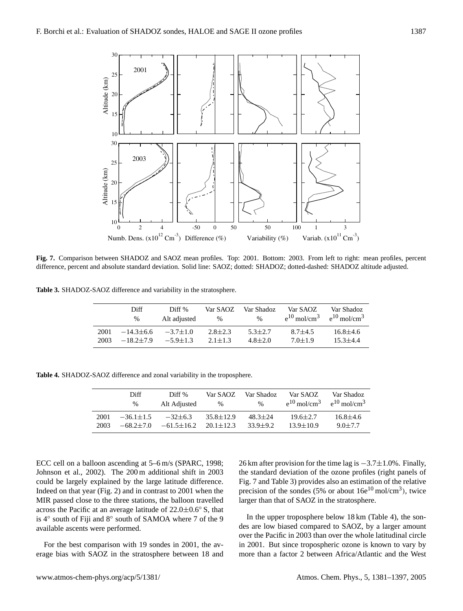

**Fig. 7.** Comparison between SHADOZ and SAOZ mean profiles. Top: 2001. Bottom: 2003. From left to right: mean profiles, percent difference, percent and absolute standard deviation. Solid line: SAOZ; dotted: SHADOZ; dotted-dashed: SHADOZ altitude adjusted.

**Table 3.** SHADOZ-SAOZ difference and variability in the stratosphere.

|      | Diff           | Diff <sup>%</sup> | Var SAOZ    | Var Shadoz  | Var SAOZ                     | Var Shadoz                   |
|------|----------------|-------------------|-------------|-------------|------------------------------|------------------------------|
|      | $\%$           | Alt adjusted      | $\%$        | $\%$        | $e^{10}$ mol/cm <sup>3</sup> | $e^{10}$ mol/cm <sup>3</sup> |
| 2001 | $-14.3\pm 6.6$ | $-3.7 \pm 1.0$    | $2.8 + 2.3$ | $5.3 + 2.7$ | $8.7 + 4.5$                  | $16.8 \pm 4.6$               |
| 2003 | $-18.2+7.9$    | $-5.9 + 1.3$      | $2.1 + 1.3$ | $4.8 + 2.0$ | $7.0 + 1.9$                  | $15.3 + 4.4$                 |

**Table 4.** SHADOZ-SAOZ difference and zonal variability in the troposphere.

|      | Diff            | Diff <sup>%</sup> | Var SAOZ        | Var Shadoz   | Var SAOZ                     | Var Shadoz                   |
|------|-----------------|-------------------|-----------------|--------------|------------------------------|------------------------------|
|      | $\%$            | Alt Adjusted      | $\%$            | $\%$         | $e^{10}$ mol/cm <sup>3</sup> | $e^{10}$ mol/cm <sup>3</sup> |
| 2001 | $-36.1 \pm 1.5$ | $-32\pm 6.3$      | $35.8 \pm 12.9$ | $48.3 + 24$  | $19.6 \pm 2.7$               | $16.8 \pm 4.6$               |
| 2003 | $-68.2+7.0$     | $-61.5 \pm 16.2$  | $20.1 + 12.3$   | $33.9 + 9.2$ | $13.9 \pm 10.9$              | $9.0 \pm 7.7$                |

ECC cell on a balloon ascending at 5–6 m/s (SPARC, 1998; Johnson et al., 2002). The 200 m additional shift in 2003 could be largely explained by the large latitude difference. Indeed on that year (Fig. 2) and in contrast to 2001 when the MIR passed close to the three stations, the balloon travelled across the Pacific at an average latitude of  $22.0 \pm 0.6$ ° S, that is 4◦ south of Fiji and 8◦ south of SAMOA where 7 of the 9 available ascents were performed.

For the best comparison with 19 sondes in 2001, the average bias with SAOZ in the stratosphere between 18 and 26 km after provision for the time lag is −3.7±1.0%. Finally, the standard deviation of the ozone profiles (right panels of Fig. 7 and Table 3) provides also an estimation of the relative precision of the sondes (5% or about  $16e^{10}$  mol/cm<sup>3</sup>), twice larger than that of SAOZ in the stratosphere.

In the upper troposphere below 18 km (Table 4), the sondes are low biased compared to SAOZ, by a larger amount over the Pacific in 2003 than over the whole latitudinal circle in 2001. But since tropospheric ozone is known to vary by more than a factor 2 between Africa/Atlantic and the West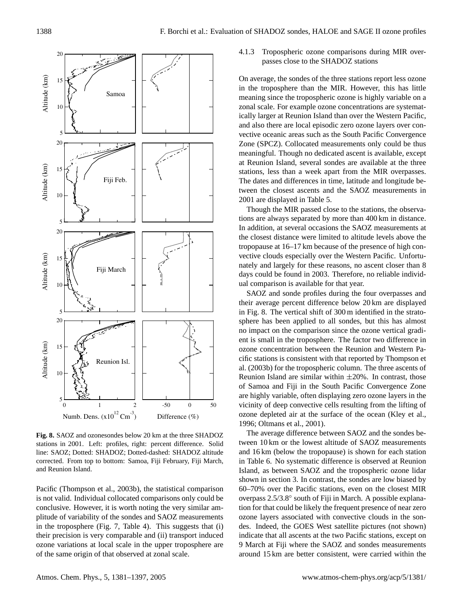

**Fig. 8.** SAOZ and ozonesondes below 20 km at the three SHADOZ stations in 2001. Left: profiles, right: percent difference. Solid line: SAOZ; Dotted: SHADOZ; Dotted-dashed: SHADOZ altitude corrected. From top to bottom: Samoa, Fiji February, Fiji March, and Reunion Island.

Pacific (Thompson et al., 2003b), the statistical comparison is not valid. Individual collocated comparisons only could be conclusive. However, it is worth noting the very similar amplitude of variability of the sondes and SAOZ measurements in the troposphere (Fig. 7, Table 4). This suggests that (i) their precision is very comparable and (ii) transport induced ozone variations at local scale in the upper troposphere are of the same origin of that observed at zonal scale.

4.1.3 Tropospheric ozone comparisons during MIR overpasses close to the SHADOZ stations

On average, the sondes of the three stations report less ozone in the troposphere than the MIR. However, this has little meaning since the tropospheric ozone is highly variable on a zonal scale. For example ozone concentrations are systematically larger at Reunion Island than over the Western Pacific, and also there are local episodic zero ozone layers over convective oceanic areas such as the South Pacific Convergence Zone (SPCZ). Collocated measurements only could be thus meaningful. Though no dedicated ascent is available, except at Reunion Island, several sondes are available at the three stations, less than a week apart from the MIR overpasses. The dates and differences in time, latitude and longitude between the closest ascents and the SAOZ measurements in 2001 are displayed in Table 5.

Though the MIR passed close to the stations, the observations are always separated by more than 400 km in distance. In addition, at several occasions the SAOZ measurements at the closest distance were limited to altitude levels above the tropopause at 16–17 km because of the presence of high convective clouds especially over the Western Pacific. Unfortunately and largely for these reasons, no ascent closer than 8 days could be found in 2003. Therefore, no reliable individual comparison is available for that year.

SAOZ and sonde profiles during the four overpasses and their average percent difference below 20 km are displayed in Fig. 8. The vertical shift of 300 m identified in the stratosphere has been applied to all sondes, but this has almost no impact on the comparison since the ozone vertical gradient is small in the troposphere. The factor two difference in ozone concentration between the Reunion and Western Pacific stations is consistent with that reported by Thompson et al. (2003b) for the tropospheric column. The three ascents of Reunion Island are similar within  $\pm 20\%$ . In contrast, those of Samoa and Fiji in the South Pacific Convergence Zone are highly variable, often displaying zero ozone layers in the vicinity of deep convective cells resulting from the lifting of ozone depleted air at the surface of the ocean (Kley et al., 1996; Oltmans et al., 2001).

8 around 15 km are better consistent, were carried within the The average difference between SAOZ and the sondes between 10 km or the lowest altitude of SAOZ measurements and 16 km (below the tropopause) is shown for each station in Table 6. No systematic difference is observed at Reunion Island, as between SAOZ and the tropospheric ozone lidar shown in section 3. In contrast, the sondes are low biased by 60–70% over the Pacific stations, even on the closest MIR overpass 2.5/3.8◦ south of Fiji in March. A possible explanation for that could be likely the frequent presence of near zero ozone layers associated with convective clouds in the sondes. Indeed, the GOES West satellite pictures (not shown) indicate that all ascents at the two Pacific stations, except on 9 March at Fiji where the SAOZ and sondes measurements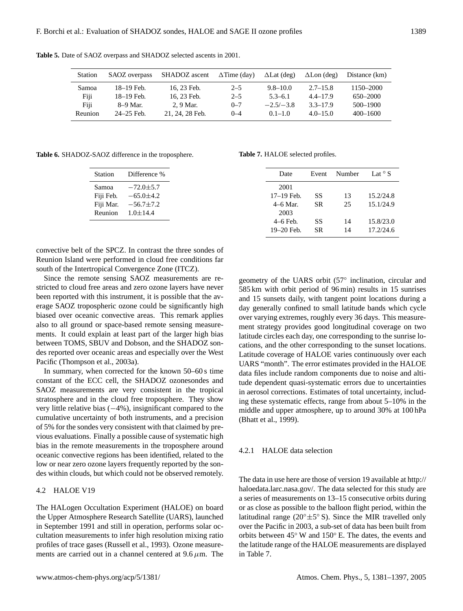| Station | SAOZ overpass  | SHADOZ ascent   | $\Delta$ Time (day) | $\Delta$ Lat (deg) | $\Delta$ Lon (deg) | Distance (km) |
|---------|----------------|-----------------|---------------------|--------------------|--------------------|---------------|
| Samoa   | 18–19 Feb.     | 16, 23 Feb.     | $2 - 5$             | $9.8 - 10.0$       | $2.7 - 15.8$       | 1150–2000     |
| Fiji    | 18–19 Feb.     | 16, 23 Feb.     | $2 - 5$             | $5.3 - 6.1$        | $4.4 - 17.9$       | 650-2000      |
| Fiji    | 8–9 Mar.       | 2, 9 Mar.       | $0 - 7$             | $-2.5/-3.8$        | $3.3 - 17.9$       | 500-1900      |
| Reunion | $24 - 25$ Feb. | 21, 24, 28 Feb. | $0 - 4$             | $0.1 - 1.0$        | $4.0 - 15.0$       | $400 - 1600$  |

**Table 5.** Date of SAOZ overpass and SHADOZ selected ascents in 2001.

**Table 6.** SHADOZ-SAOZ difference in the troposphere.

| <b>Station</b> | Difference %    |
|----------------|-----------------|
| Samoa          | $-72.0 \pm 5.7$ |
| Fiji Feb.      | $-65.0 \pm 4.2$ |
| Fiji Mar.      | $-56.7 \pm 7.2$ |
| Reunion        | $1.0 \pm 14.4$  |

convective belt of the SPCZ. In contrast the three sondes of Reunion Island were performed in cloud free conditions far south of the Intertropical Convergence Zone (ITCZ).

Since the remote sensing SAOZ measurements are restricted to cloud free areas and zero ozone layers have never been reported with this instrument, it is possible that the average SAOZ tropospheric ozone could be significantly high biased over oceanic convective areas. This remark applies also to all ground or space-based remote sensing measurements. It could explain at least part of the larger high bias between TOMS, SBUV and Dobson, and the SHADOZ sondes reported over oceanic areas and especially over the West Pacific (Thompson et al., 2003a).

In summary, when corrected for the known 50–60 s time constant of the ECC cell, the SHADOZ ozonesondes and SAOZ measurements are very consistent in the tropical stratosphere and in the cloud free troposphere. They show very little relative bias (−4%), insignificant compared to the cumulative uncertainty of both instruments, and a precision of 5% for the sondes very consistent with that claimed by previous evaluations. Finally a possible cause of systematic high bias in the remote measurements in the troposphere around oceanic convective regions has been identified, related to the low or near zero ozone layers frequently reported by the sondes within clouds, but which could not be observed remotely.

#### 4.2 HALOE V19

The HALogen Occultation Experiment (HALOE) on board the Upper Atmosphere Research Satellite (UARS), launched in September 1991 and still in operation, performs solar occultation measurements to infer high resolution mixing ratio profiles of trace gases (Russell et al., 1993). Ozone measurements are carried out in a channel centered at  $9.6 \mu m$ . The

**Table 7.** HALOE selected profiles.

| Date                   | Event     | Number   | Lat $\circ$ S          |
|------------------------|-----------|----------|------------------------|
| 2001                   |           |          |                        |
| 17-19 Feb.<br>4–6 Mar. | SS<br>SR. | 13<br>25 | 15.2/24.8<br>15.1/24.9 |
| 2003                   |           |          |                        |
| $4-6$ Feb.             | SS        | 14       | 15.8/23.0              |
| 19-20 Feb.             | SR        | 14       | 17.2/24.6              |

geometry of the UARS orbit (57◦ inclination, circular and 585 km with orbit period of 96 min) results in 15 sunrises and 15 sunsets daily, with tangent point locations during a day generally confined to small latitude bands which cycle over varying extremes, roughly every 36 days. This measurement strategy provides good longitudinal coverage on two latitude circles each day, one corresponding to the sunrise locations, and the other corresponding to the sunset locations. Latitude coverage of HALOE varies continuously over each UARS "month". The error estimates provided in the HALOE data files include random components due to noise and altitude dependent quasi-systematic errors due to uncertainties in aerosol corrections. Estimates of total uncertainty, including these systematic effects, range from about 5–10% in the middle and upper atmosphere, up to around 30% at 100 hPa (Bhatt et al., 1999).

### 4.2.1 HALOE data selection

The data in use here are those of version 19 available at [http://](http://haloedata.larc.nasa.gov/) [haloedata.larc.nasa.gov/.](http://haloedata.larc.nasa.gov/) The data selected for this study are a series of measurements on 13–15 consecutive orbits during or as close as possible to the balloon flight period, within the latitudinal range ( $20^{\circ} \pm 5^{\circ}$  S). Since the MIR travelled only over the Pacific in 2003, a sub-set of data has been built from orbits between 45◦ W and 150◦ E. The dates, the events and the latitude range of the HALOE measurements are displayed in Table 7.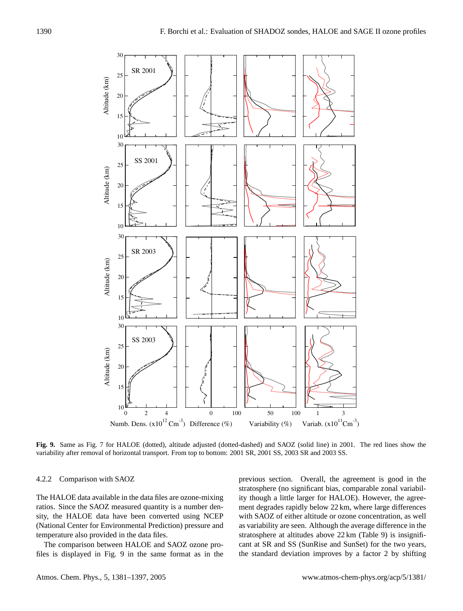

**Fig. 9.** Same as Fig. 7 for HALOE (dotted), altitude adjusted (dotted-dashed) and SAOZ (solid line) in 2001. The red lines show the variability after removal of horizontal transport. From top to bottom: 2001 SR, 2001 SS, 2003 SR and 2003 SS.

# 4.2.2 Comparison with SAOZ

The HALOE data available in the data files are ozone-mixing ratios. Since the SAOZ measured quantity is a number density, the HALOE data have been converted using NCEP (National Center for Environmental Prediction) pressure and temperature also provided in the data files.

The comparison between HALOE and SAOZ ozone profiles is displayed in Fig. 9 in the same format as in the previous section. Overall, the agreement is good in the stratosphere (no significant bias, comparable zonal variability though a little larger for HALOE). However, the agreement degrades rapidly below 22 km, where large differences with SAOZ of either altitude or ozone concentration, as well as variability are seen. Although the average difference in the stratosphere at altitudes above 22 km (Table 9) is insignificant at SR and SS (SunRise and SunSet) for the two years, the standard deviation improves by a factor 2 by shifting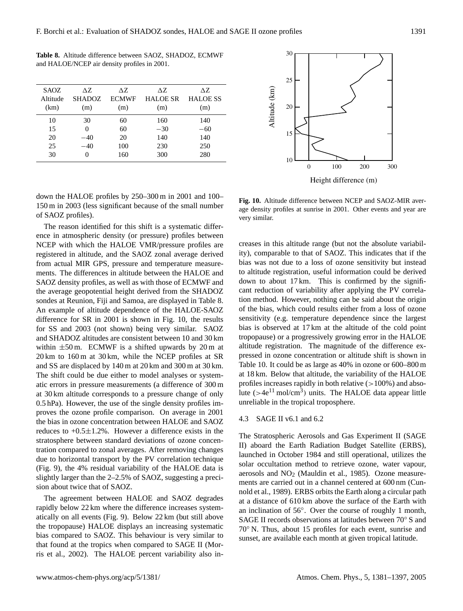**Table 8.** Altitude difference between SAOZ, SHADOZ, ECMWF and HALOE/NCEP air density profiles in 2001.

| SAOZ.<br>Altitude | AZ.<br><b>SHADOZ</b> | ΔZ.<br><b>ECMWF</b> | AZ.<br><b>HALOE SR</b> | ΔZ.<br><b>HALOE SS</b> |
|-------------------|----------------------|---------------------|------------------------|------------------------|
| (km)              | (m)                  | (m)                 | (m)                    | (m)                    |
| 10                | 30                   | 60                  | 160                    | 140                    |
| 15                | 0                    | 60                  | $-30$                  | $-60$                  |
| 20                | $-40$                | 20                  | 140                    | 140                    |
| 25                | $-40$                | 100                 | 230                    | 250                    |
| 30                | $\mathbf{\Omega}$    | 160                 | 300                    | 280                    |

down the HALOE profiles by 250–300 m in 2001 and 100– 150 m in 2003 (less significant because of the small number of SAOZ profiles).

The reason identified for this shift is a systematic difference in atmospheric density (or pressure) profiles between NCEP with which the HALOE VMR/pressure profiles are registered in altitude, and the SAOZ zonal average derived from actual MIR GPS, pressure and temperature measurements. The differences in altitude between the HALOE and SAOZ density profiles, as well as with those of ECMWF and the average geopotential height derived from the SHADOZ sondes at Reunion, Fiji and Samoa, are displayed in Table 8. An example of altitude dependence of the HALOE-SAOZ difference for SR in 2001 is shown in Fig. 10, the results for SS and 2003 (not shown) being very similar. SAOZ and SHADOZ altitudes are consistent between 10 and 30 km within  $\pm 50$  m. ECMWF is a shifted upwards by 20 m at 20 km to 160 m at 30 km, while the NCEP profiles at SR and SS are displaced by 140 m at 20 km and 300 m at 30 km. The shift could be due either to model analyses or systematic errors in pressure measurements (a difference of 300 m at 30 km altitude corresponds to a pressure change of only 0.5 hPa). However, the use of the single density profiles improves the ozone profile comparison. On average in 2001 the bias in ozone concentration between HALOE and SAOZ reduces to  $+0.5\pm1.2$ %. However a difference exists in the stratosphere between standard deviations of ozone concentration compared to zonal averages. After removing changes due to horizontal transport by the PV correlation technique (Fig. 9), the 4% residual variability of the HALOE data is slightly larger than the 2–2.5% of SAOZ, suggesting a precision about twice that of SAOZ.

The agreement between HALOE and SAOZ degrades rapidly below 22 km where the difference increases systematically on all events (Fig. 9). Below 22 km (but still above the tropopause) HALOE displays an increasing systematic bias compared to SAOZ. This behaviour is very similar to that found at the tropics when compared to SAGE II (Morris et al., 2002). The HALOE percent variability also in-



**Fig. 10.** Altitude difference between NCEP and SAOZ-MIR average density profiles at sunrise in 2001. Other events and year are very similar.

creases in this altitude range (but not the absolute variability), comparable to that of SAOZ. This indicates that if the bias was not due to a loss of ozone sensitivity but instead to altitude registration, useful information could be derived down to about 17 km. This is confirmed by the significant reduction of variability after applying the PV correlation method. However, nothing can be said about the origin of the bias, which could results either from a loss of ozone sensitivity (e.g. temperature dependence since the largest bias is observed at 17 km at the altitude of the cold point tropopause) or a progressively growing error in the HALOE altitude registration. The magnitude of the difference expressed in ozone concentration or altitude shift is shown in Table 10. It could be as large as 40% in ozone or 600–800 m at 18 km. Below that altitude, the variability of the HALOE profiles increases rapidly in both relative  $(>100\%)$  and absolute ( $>4e^{11}$  mol/cm<sup>3</sup>) units. The HALOE data appear little unreliable in the tropical troposphere.

#### 4.3 SAGE II v6.1 and 6.2

The Stratospheric Aerosols and Gas Experiment II (SAGE II) aboard the Earth Radiation Budget Satellite (ERBS), launched in October 1984 and still operational, utilizes the solar occultation method to retrieve ozone, water vapour, aerosols and  $NO<sub>2</sub>$  (Mauldin et al., 1985). Ozone measurements are carried out in a channel centered at 600 nm (Cunnold et al., 1989). ERBS orbits the Earth along a circular path at a distance of 610 km above the surface of the Earth with an inclination of 56◦ . Over the course of roughly 1 month, SAGE II records observations at latitudes between 70◦ S and 70◦ N. Thus, about 15 profiles for each event, sunrise and sunset, are available each month at given tropical latitude.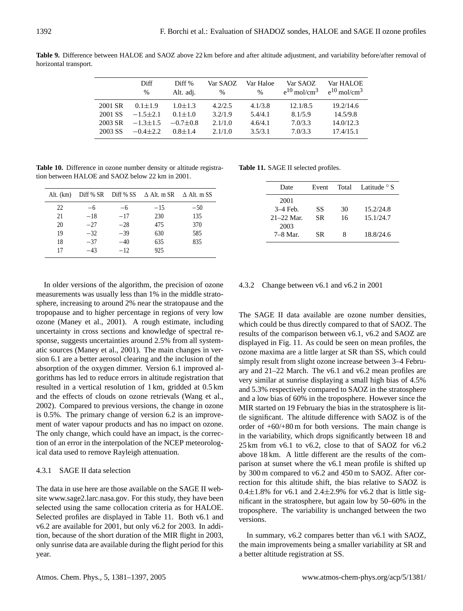|         | Diff<br>$\%$ | Diff %<br>Alt. adj. | Var SAOZ<br>% | Var Haloe<br>$\frac{0}{0}$ | Var SAOZ<br>$e^{10}$ mol/cm <sup>3</sup> | Var HALOE<br>$e^{10}$ mol/cm <sup>3</sup> |
|---------|--------------|---------------------|---------------|----------------------------|------------------------------------------|-------------------------------------------|
| 2001 SR | $0.1 + 1.9$  | $1.0 + 1.3$         | 4.2/2.5       | 4.1/3.8                    | 12.1/8.5                                 | 19.2/14.6                                 |
| 2001 SS | $-1.5+2.1$   | $0.1 + 1.0$         | 3.2/1.9       | 5.4/4.1                    | 8.1/5.9                                  | 14.5/9.8                                  |
| 2003 SR | $-1.3 + 1.5$ | $-0.7+0.8$          | 2.1/1.0       | 4.6/4.1                    | 7.0/3.3                                  | 14.0/12.3                                 |
| 2003 SS | $-0.4+2.2$   | $0.8 + 1.4$         | 2.1/1.0       | 3.5/3.1                    | 7.0/3.3                                  | 17.4/15.1                                 |

**Table 9.** Difference between HALOE and SAOZ above 22 km before and after altitude adjustment, and variability before/after removal of horizontal transport.

**Table 10.** Difference in ozone number density or altitude registration between HALOE and SAOZ below 22 km in 2001.

|    |       |       | Alt. (km) Diff % SR Diff % SS $\triangle$ Alt. m SR $\triangle$ Alt. m SS |       |
|----|-------|-------|---------------------------------------------------------------------------|-------|
| 22 | $-6$  | $-6$  | $-15$                                                                     | $-50$ |
| 21 | $-18$ | $-17$ | 230                                                                       | 135   |
| 20 | $-27$ | $-28$ | 475                                                                       | 370   |
| 19 | $-32$ | $-39$ | 630                                                                       | 585   |
| 18 | $-37$ | $-40$ | 635                                                                       | 835   |
| 17 | $-43$ | $-12$ | 925                                                                       |       |

In older versions of the algorithm, the precision of ozone measurements was usually less than 1% in the middle stratosphere, increasing to around 2% near the stratopause and the tropopause and to higher percentage in regions of very low ozone (Maney et al., 2001). A rough estimate, including uncertainty in cross sections and knowledge of spectral response, suggests uncertainties around 2.5% from all systematic sources (Maney et al., 2001). The main changes in version 6.1 are a better aerosol clearing and the inclusion of the absorption of the oxygen dimmer. Version 6.1 improved algorithms has led to reduce errors in altitude registration that resulted in a vertical resolution of 1 km, gridded at 0.5 km and the effects of clouds on ozone retrievals (Wang et al., 2002). Compared to previous versions, the change in ozone is 0.5%. The primary change of version 6.2 is an improvement of water vapour products and has no impact on ozone. The only change, which could have an impact, is the correction of an error in the interpolation of the NCEP meteorological data used to remove Rayleigh attenuation.

# 4.3.1 SAGE II data selection

The data in use here are those available on the SAGE II website [www.sage2.larc.nasa.gov.](www.sage2.larc.nasa.gov) For this study, they have been selected using the same collocation criteria as for HALOE. Selected profiles are displayed in Table 11. Both v6.1 and v6.2 are available for 2001, but only v6.2 for 2003. In addition, because of the short duration of the MIR flight in 2003, only sunrise data are available during the flight period for this year.

**Table 11.** SAGE II selected profiles.

| Date          | Event | Total | Latitude <sup>o</sup> S |
|---------------|-------|-------|-------------------------|
| 2001          |       |       |                         |
| $3-4$ Feb.    | SS    | 30    | 15.2/24.8               |
| $21 - 22$ Mar | SR.   | 16    | 15.1/24.7               |
| 2003          |       |       |                         |
| $7-8$ Mar.    | SR.   | 8     | 18.8/24.6               |

# 4.3.2 Change between v6.1 and v6.2 in 2001

The SAGE II data available are ozone number densities, which could be thus directly compared to that of SAOZ. The results of the comparison between v6.1, v6.2 and SAOZ are displayed in Fig. 11. As could be seen on mean profiles, the ozone maxima are a little larger at SR than SS, which could simply result from slight ozone increase between 3–4 February and 21–22 March. The v6.1 and v6.2 mean profiles are very similar at sunrise displaying a small high bias of 4.5% and 5.3% respectively compared to SAOZ in the stratosphere and a low bias of 60% in the troposphere. However since the MIR started on 19 February the bias in the stratosphere is little significant. The altitude difference with SAOZ is of the order of  $+60/+80$  m for both versions. The main change is in the variability, which drops significantly between 18 and 25 km from v6.1 to v6.2, close to that of SAOZ for v6.2 above 18 km. A little different are the results of the comparison at sunset where the v6.1 mean profile is shifted up by 300 m compared to v6.2 and 450 m to SAOZ. After correction for this altitude shift, the bias relative to SAOZ is 0.4 $\pm$ 1.8% for v6.1 and 2.4 $\pm$ 2.9% for v6.2 that is little significant in the stratosphere, but again low by 50–60% in the troposphere. The variability is unchanged between the two versions.

In summary, v6.2 compares better than v6.1 with SAOZ, the main improvements being a smaller variability at SR and a better altitude registration at SS.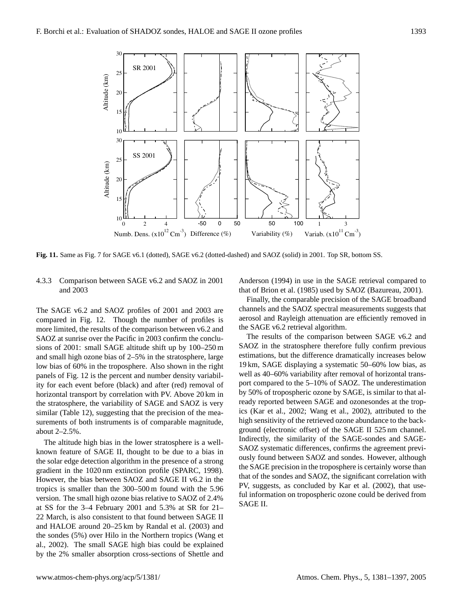

**Fig. 11.** Same as Fig. 7 for SAGE v6.1 (dotted), SAGE v6.2 (dotted-dashed) and SAOZ (solid) in 2001. Top SR, bottom SS.

# 4.3.3 Comparison between SAGE v6.2 and SAOZ in 2001 and 2003

The SAGE v6.2 and SAOZ profiles of 2001 and 2003 are compared in Fig. 12. Though the number of profiles is more limited, the results of the comparison between v6.2 and SAOZ at sunrise over the Pacific in 2003 confirm the conclusions of 2001: small SAGE altitude shift up by 100–250 m and small high ozone bias of 2–5% in the stratosphere, large low bias of 60% in the troposphere. Also shown in the right panels of Fig. 12 is the percent and number density variability for each event before (black) and after (red) removal of horizontal transport by correlation with PV. Above 20 km in the stratosphere, the variability of SAGE and SAOZ is very similar (Table 12), suggesting that the precision of the measurements of both instruments is of comparable magnitude, about 2–2.5%.

The altitude high bias in the lower stratosphere is a wellknown feature of SAGE II, thought to be due to a bias in the solar edge detection algorithm in the presence of a strong gradient in the 1020 nm extinction profile (SPARC, 1998). However, the bias between SAOZ and SAGE II v6.2 in the tropics is smaller than the 300–500 m found with the 5.96 version. The small high ozone bias relative to SAOZ of 2.4% at SS for the 3–4 February 2001 and 5.3% at SR for 21– 22 March, is also consistent to that found between SAGE II and HALOE around 20–25 km by Randal et al. (2003) and the sondes (5%) over Hilo in the Northern tropics (Wang et al., 2002). The small SAGE high bias could be explained by the 2% smaller absorption cross-sections of Shettle and Anderson (1994) in use in the SAGE retrieval compared to that of Brion et al. (1985) used by SAOZ (Bazureau, 2001).

Finally, the comparable precision of the SAGE broadband channels and the SAOZ spectral measurements suggests that aerosol and Rayleigh attenuation are efficiently removed in the SAGE v6.2 retrieval algorithm.

SAOZ systematic differences, confirms the agreement previ-The results of the comparison between SAGE v6.2 and SAOZ in the stratosphere therefore fully confirm previous estimations, but the difference dramatically increases below 19 km, SAGE displaying a systematic 50–60% low bias, as well as 40–60% variability after removal of horizontal transport compared to the 5–10% of SAOZ. The underestimation by 50% of tropospheric ozone by SAGE, is similar to that already reported between SAGE and ozonesondes at the tropics (Kar et al., 2002; Wang et al., 2002), attributed to the high sensitivity of the retrieved ozone abundance to the background (electronic offset) of the SAGE II 525 nm channel. Indirectly, the similarity of the SAGE-sondes and SAGEously found between SAOZ and sondes. However, although the SAGE precision in the troposphere is certainly worse than that of the sondes and SAOZ, the significant correlation with PV, suggests, as concluded by Kar et al. (2002), that useful information on tropospheric ozone could be derived from SAGE II.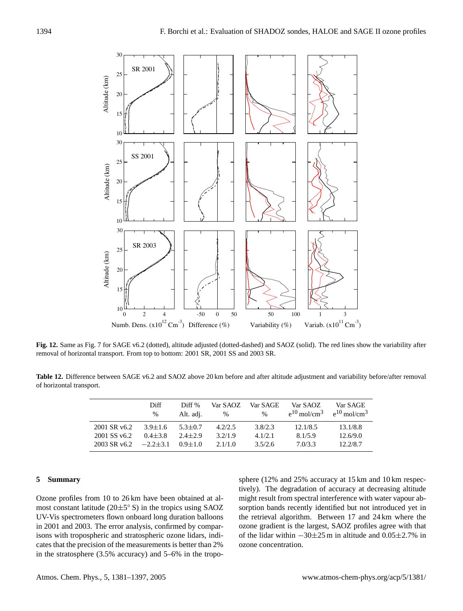

**Fig. 12.** Same as Fig. 7 for SAGE v6.2 (dotted), altitude adjusted (dotted-dashed) and SAOZ (solid). The red lines show the variability after removal of horizontal transport. From top to bottom: 2001 SR, 2001 SS and 2003 SR.

**Table 12.** Difference between SAGE v6.2 and SAOZ above 20 km before and after altitude adjustment and variability before/after removal of horizontal transport.

| Diff<br>$\%$   | Diff %<br>Alt. adj. | Var SAOZ<br>$\%$ | Var SAGE.<br>$\%$ | Var SAOZ<br>$e^{10}$ mol/cm <sup>3</sup> | Var SAGE<br>$e^{10}$ mol/cm <sup>3</sup> |
|----------------|---------------------|------------------|-------------------|------------------------------------------|------------------------------------------|
| $3.9 + 1.6$    | $5.3 \pm 0.7$       | 4.2/2.5          | 3.8/2.3           | 12.1/8.5                                 | 13.1/8.8                                 |
| $0.4 + 3.8$    | $2.4 + 2.9$         | 3.2/1.9          | 4.1/2.1           | 8.1/5.9                                  | 12.6/9.0                                 |
| $-2.2 \pm 3.1$ | $0.9 + 1.0$         | 2.1/1.0          | 3.5/2.6           | 7.0/3.3                                  | 12.2/8.7                                 |
|                |                     |                  |                   |                                          |                                          |

#### **5 Summary**

Ozone profiles from 10 to 26 km have been obtained at almost constant latitude  $(20 \pm 5^{\circ} S)$  in the tropics using SAOZ UV-Vis spectrometers flown onboard long duration balloons in 2001 and 2003. The error analysis, confirmed by comparisons with tropospheric and stratospheric ozone lidars, indicates that the precision of the measurements is better than 2% in the stratosphere (3.5% accuracy) and 5–6% in the troposphere (12% and 25% accuracy at 15 km and 10 km respectively). The degradation of accuracy at decreasing altitude might result from spectral interference with water vapour absorption bands recently identified but not introduced yet in the retrieval algorithm. Between 17 and 24 km where the ozone gradient is the largest, SAOZ profiles agree with that of the lidar within −30±25 m in altitude and 0.05±2.7% in ozone concentration.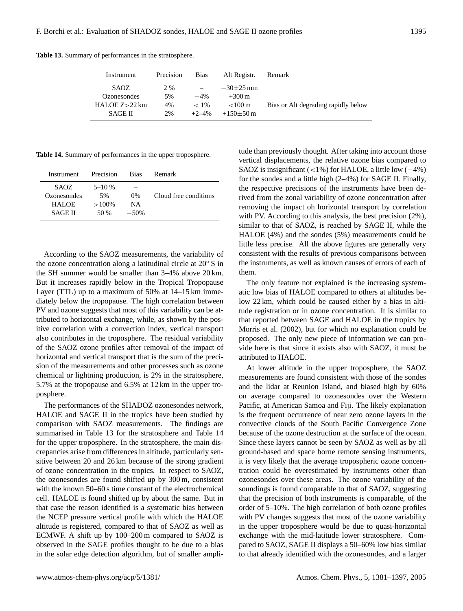| Instrument                                                 | Precision             | <b>Bias</b>                    | Alt Registr.                                                        | Remark                              |
|------------------------------------------------------------|-----------------------|--------------------------------|---------------------------------------------------------------------|-------------------------------------|
| SAOZ<br>Ozonesondes<br>HALOE $Z > 22$ km<br><b>SAGE II</b> | 2 %<br>5%<br>4%<br>2% | $-4%$<br>$~<~1\%$<br>$+2 - 4%$ | $-30\pm 25$ mm<br>$+300 \,\mathrm{m}$<br>${<}100m$<br>$+150\pm50$ m | Bias or Alt degrading rapidly below |

**Table 13.** Summary of performances in the stratosphere.

**Table 14.** Summary of performances in the upper troposphere.

| Instrument     | Precision | <b>Bias</b> | Remark                |
|----------------|-----------|-------------|-----------------------|
| SAOZ.          | $5 - 10%$ |             |                       |
| Ozonesondes    | 5%        | $0\%$       | Cloud free conditions |
| <b>HALOE</b>   | $>100\%$  | NA          |                       |
| <b>SAGE II</b> | 50 %      | $-50%$      |                       |
|                |           |             |                       |

According to the SAOZ measurements, the variability of the ozone concentration along a latitudinal circle at 20◦ S in the SH summer would be smaller than 3–4% above 20 km. But it increases rapidly below in the Tropical Tropopause Layer (TTL) up to a maximum of 50% at 14–15 km immediately below the tropopause. The high correlation between PV and ozone suggests that most of this variability can be attributed to horizontal exchange, while, as shown by the positive correlation with a convection index, vertical transport also contributes in the troposphere. The residual variability of the SAOZ ozone profiles after removal of the impact of horizontal and vertical transport that is the sum of the precision of the measurements and other processes such as ozone chemical or lightning production, is 2% in the stratosphere, 5.7% at the tropopause and 6.5% at 12 km in the upper troposphere.

The performances of the SHADOZ ozonesondes network, HALOE and SAGE II in the tropics have been studied by comparison with SAOZ measurements. The findings are summarised in Table 13 for the stratosphere and Table 14 for the upper troposphere. In the stratosphere, the main discrepancies arise from differences in altitude, particularly sensitive between 20 and 26 km because of the strong gradient of ozone concentration in the tropics. In respect to SAOZ, the ozonesondes are found shifted up by 300 m, consistent with the known 50–60 s time constant of the electrochemical cell. HALOE is found shifted up by about the same. But in that case the reason identified is a systematic bias between the NCEP pressure vertical profile with which the HALOE altitude is registered, compared to that of SAOZ as well as ECMWF. A shift up by 100–200 m compared to SAOZ is observed in the SAGE profiles thought to be due to a bias in the solar edge detection algorithm, but of smaller amplitude than previously thought. After taking into account those vertical displacements, the relative ozone bias compared to SAOZ is insignificant (<1%) for HALOE, a little low (−4%) for the sondes and a little high (2–4%) for SAGE II. Finally, the respective precisions of the instruments have been derived from the zonal variability of ozone concentration after removing the impact oh horizontal transport by correlation with PV. According to this analysis, the best precision (2%), similar to that of SAOZ, is reached by SAGE II, while the HALOE (4%) and the sondes (5%) measurements could be little less precise. All the above figures are generally very consistent with the results of previous comparisons between the instruments, as well as known causes of errors of each of them.

The only feature not explained is the increasing systematic low bias of HALOE compared to others at altitudes below 22 km, which could be caused either by a bias in altitude registration or in ozone concentration. It is similar to that reported between SAGE and HALOE in the tropics by Morris et al. (2002), but for which no explanation could be proposed. The only new piece of information we can provide here is that since it exists also with SAOZ, it must be attributed to HALOE.

At lower altitude in the upper troposphere, the SAOZ measurements are found consistent with those of the sondes and the lidar at Reunion Island, and biased high by 60% on average compared to ozonesondes over the Western Pacific, at American Samoa and Fiji. The likely explanation is the frequent occurrence of near zero ozone layers in the convective clouds of the South Pacific Convergence Zone because of the ozone destruction at the surface of the ocean. Since these layers cannot be seen by SAOZ as well as by all ground-based and space borne remote sensing instruments, it is very likely that the average tropospheric ozone concentration could be overestimated by instruments other than ozonesondes over these areas. The ozone variability of the soundings is found comparable to that of SAOZ, suggesting that the precision of both instruments is comparable, of the order of 5–10%. The high correlation of both ozone profiles with PV changes suggests that most of the ozone variability in the upper troposphere would be due to quasi-horizontal exchange with the mid-latitude lower stratosphere. Compared to SAOZ, SAGE II displays a 50–60% low bias similar to that already identified with the ozonesondes, and a larger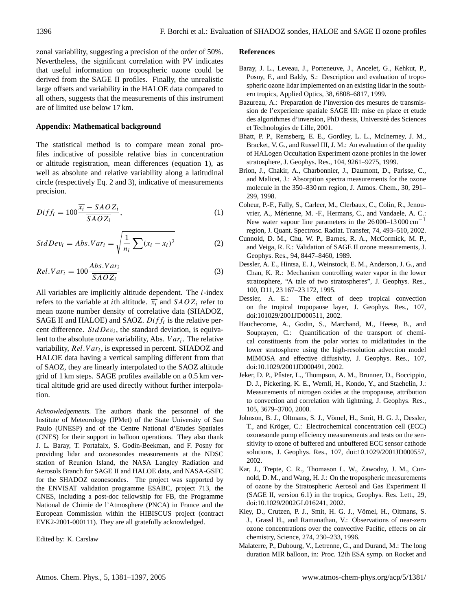zonal variability, suggesting a precision of the order of 50%. Nevertheless, the significant correlation with PV indicates that useful information on tropospheric ozone could be derived from the SAGE II profiles. Finally, the unrealistic large offsets and variability in the HALOE data compared to all others, suggests that the measurements of this instrument are of limited use below 17 km.

#### **Appendix: Mathematical background**

The statistical method is to compare mean zonal profiles indicative of possible relative bias in concentration or altitude registration, mean differences (equation 1), as well as absolute and relative variability along a latitudinal circle (respectively Eq. 2 and 3), indicative of measurements precision.

$$
Diff_i = 100 \frac{\overline{x_i} - \overline{SAOZ_i}}{\overline{SAOZ_i}},
$$
\n(1)

$$
StdDev_i = Abs.Var_i = \sqrt{\frac{1}{n_i} \sum (x_i - \overline{x_i})^2}
$$
 (2)

$$
Rel.Var_{i} = 100 \frac{Abs.Var_{i}}{\overline{SAOZ_{i}}}
$$
\n(3)

All variables are implicitly altitude dependent. The i-index refers to the variable at *i*th altitude.  $\overline{x_i}$  and  $SAOZ_i$  refer to mean ozone number density of correlative data (SHADOZ, SAGE II and HALOE) and SAOZ.  $Diff_i$  is the relative percent difference.  $StdDev_i$ , the standard deviation, is equivalent to the absolute ozone variability, Abs.  $Var_i$ . The relative variability,  $Rel.Var_i$ , is expressed in percent. SHADOZ and HALOE data having a vertical sampling different from that of SAOZ, they are linearly interpolated to the SAOZ altitude grid of 1 km steps. SAGE profiles available on a 0.5 km vertical altitude grid are used directly without further interpolation.

*Acknowledgements.* The authors thank the personnel of the Institute of Meteorology (IPMet) of the State University of Sao Paulo (UNESP) and of the Centre National d'Etudes Spatiales (CNES) for their support in balloon operations. They also thank J. L. Baray, T. Portafaix, S. Godin-Beekman, and F. Posny for providing lidar and ozonesondes measurements at the NDSC station of Reunion Island, the NASA Langley Radiation and Aerosols Branch for SAGE II and HALOE data, and NASA-GSFC for the SHADOZ ozonesondes. The project was supported by the ENVISAT validation programme ESABC, project 713, the CNES, including a post-doc fellowship for FB, the Programme National de Chimie de l'Atmosphere (PNCA) in France and the European Commission within the HIBISCUS project (contract EVK2-2001-000111). They are all gratefully acknowledged.

Edited by: K. Carslaw

## **References**

- Baray, J. L., Leveau, J., Porteneuve, J., Ancelet, G., Kehkut, P., Posny, F., and Baldy, S.: Description and evaluation of tropospheric ozone lidar implemented on an existing lidar in the southern tropics, Applied Optics, 38, 6808–6817, 1999.
- Bazureau, A.: Preparation de l'inversion des mesures de transmission de l'experience spatiale SAGE III: mise en place et etude des algorithmes d'inversion, PhD thesis, Université des Sciences et Technologies de Lille, 2001.
- Bhatt, P. P., Remsberg, E. E., Gordley, L. L., McInerney, J. M., Bracket, V. G., and Russel III, J. M.: An evaluation of the quality of HALogen Occultation Experiment ozone profiles in the lower stratosphere, J. Geophys. Res., 104, 9261–9275, 1999.
- Brion, J., Chakir, A., Charbonnier, J., Daumont, D., Parisse, C., and Malicet, J.: Absorption spectra measurements for the ozone molecule in the 350–830 nm region, J. Atmos. Chem., 30, 291– 299, 1998.
- Coheur, P.-F., Fally, S., Carleer, M., Clerbaux, C., Colin, R., Jenouvrier, A., Merienne, M. -F., Hermans, C., and Vandaele, A. C.: ´ New water vapour line parameters in the  $26000-13000 \text{ cm}^{-1}$ region, J. Quant. Spectrosc. Radiat. Transfer, 74, 493–510, 2002.
- Cunnold, D. M., Chu, W. P., Barnes, R. A., McCormick, M. P., and Veiga, R. E.: Validation of SAGE II ozone measurements, J. Geophys. Res., 94, 8447–8460, 1989.
- Dessler, A. E., Hintsa, E. J., Weinstock, E. M., Anderson, J. G., and Chan, K. R.: Mechanism controlling water vapor in the lower stratosphere, "A tale of two stratospheres", J. Geophys. Res., 100, D11, 23 167–23 172, 1995.
- Dessler, A. E.: The effect of deep tropical convection on the tropical tropopause layer, J. Geophys. Res., 107, doi:101029/2001JD000511, 2002.
- Hauchecorne, A., Godin, S., Marchand, M., Heese, B., and Souprayen, C.: Quantification of the transport of chemical constituents from the polar vortex to midlatitudes in the lower stratosphere using the high-resolution advection model MIMOSA and effective diffusivity, J. Geophys. Res., 107, doi:10.1029/2001JD000491, 2002.
- Jeker, D. P., Pfister, L., Thompson, A. M., Brunner, D., Boccippio, D. J., Pickering, K. E., Wernli, H., Kondo, Y., and Staehelin, J.: Measurements of nitrogen oxides at the tropopause, attribution to convection and correlation with lightning, J. Geophys. Res., 105, 3679–3700, 2000.
- Johnson, B. J., Oltmans, S. J., Vömel, H., Smit, H. G. J., Dessler, T., and Kröger, C.: Electrochemical concentration cell (ECC) ozonesonde pump efficiency measurements and tests on the sensitivity to ozone of buffered and unbuffered ECC sensor cathode solutions, J. Geophys. Res., 107, doi:10.1029/2001JD000557, 2002.
- Kar, J., Trepte, C. R., Thomason L. W., Zawodny, J. M., Cunnold, D. M., and Wang, H. J.: On the tropospheric measurements of ozone by the Stratospheric Aerosol and Gas Experiment II (SAGE II, version 6.1) in the tropics, Geophys. Res. Lett., 29, doi:10.1029/2002GL016241, 2002.
- Kley, D., Crutzen, P. J., Smit, H. G. J., Vömel, H., Oltmans, S. J., Grassl H., and Ramanathan, V.: Observations of near-zero ozone concentrations over the convective Pacific, effects on air chemistry, Science, 274, 230–233, 1996.
- Malaterre, P., Dubourg, V., Letrenne, G., and Durand, M.: The long duration MIR balloon, in: Proc. 12th ESA symp. on Rocket and